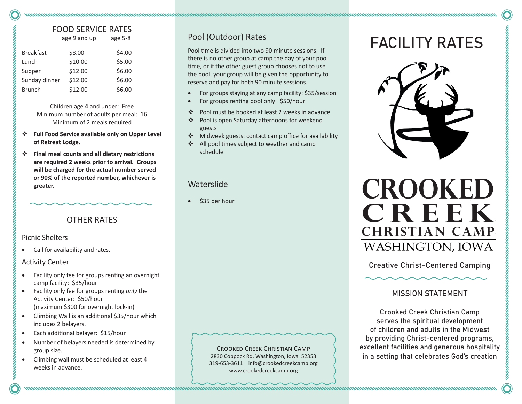## FOOD SERVICE RATES

age 9 and up age 5-8

| <b>Breakfast</b> | \$8.00  | \$4.00 |
|------------------|---------|--------|
| Lunch            | \$10.00 | \$5.00 |
| Supper           | \$12.00 | \$6.00 |
| Sunday dinner    | \$12.00 | \$6.00 |
| <b>Brunch</b>    | \$12.00 | \$6.00 |

Children age 4 and under: Free Minimum number of adults per meal: 16 Minimum of 2 meals required

- **Full Food Service available only on Upper Level of Retreat Lodge.**
- **Final meal counts and all dietary restrictions are required 2 weeks prior to arrival. Groups will be charged for the actual number served or 90% of the reported number, whichever is greater.**

## OTHER RATES

#### Picnic Shelters

Call for availability and rates.

#### Activity Center

- Facility only fee for groups renting an overnight camp facility:\$35/hour
- Facility only fee for groups renting *only* the Activity Center:\$50/hour (maximum \$300 for overnight lock-in)
- Climbing Wall is an additional \$35/hour which includes 2 belayers.
- Each additional belayer: \$15/hour
- Number of belayers needed is determined by group size.
- Climbing wall must be scheduled at least 4 weeks in advance.

Pool (Outdoor) Rates

Pool time is divided into two 90 minute sessions. If there is no other group at camp the day of your pool time, or if the other guest group chooses not to use the pool, your group will be given the opportunity to reserve and pay for both 90 minute sessions.

- For groups staying at any camp facility: \$35/session
- For groups renting pool only: \$50/hour
- Pool must be booked at least 2 weeks in advance
- Pool is open Saturday afternoons for weekend guests
- Midweek guests: contact camp office for availability
- ❖ All pool times subject to weather and camp schedule

## **Waterslide**

\$35 per hour

Crooked Creek Christian Camp 2830 Coppock Rd. Washington, Iowa 52353 319-653-3611 info@crookedcreekcamp.org www.crookedcreekcamp.org

# FACILITY RATES





Creative Christ-Centered Camping

#### MISSION STATEMENT

Crooked Creek Christian Camp serves the spiritual development of children and adults in the Midwest by providing Christ-centered programs, excellent facilities and generous hospitality in a setting that celebrates God's creation